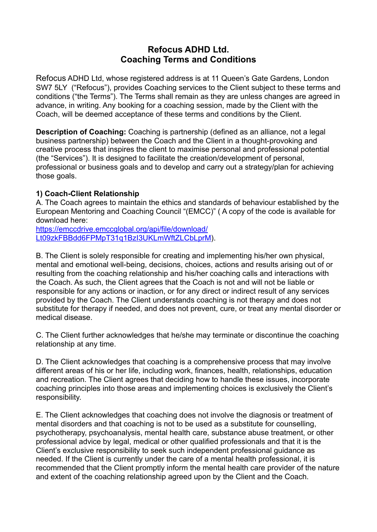# **Refocus ADHD Ltd. Coaching Terms and Conditions**

Refocus ADHD Ltd, whose registered address is at 11 Queen's Gate Gardens, London SW7 5LY ("Refocus"), provides Coaching services to the Client subject to these terms and conditions ("the Terms"). The Terms shall remain as they are unless changes are agreed in advance, in writing. Any booking for a coaching session, made by the Client with the Coach, will be deemed acceptance of these terms and conditions by the Client.

**Description of Coaching:** Coaching is partnership (defined as an alliance, not a legal business partnership) between the Coach and the Client in a thought-provoking and creative process that inspires the client to maximise personal and professional potential (the "Services"). It is designed to facilitate the creation/development of personal, professional or business goals and to develop and carry out a strategy/plan for achieving those goals.

## **1) Coach-Client Relationship**

A. The Coach agrees to maintain the ethics and standards of behaviour established by the European Mentoring and Coaching Council "(EMCC)" ( A copy of the code is available for download here:

[https://emccdrive.emccglobal.org/api/file/download/](https://emccdrive.emccglobal.org/api/file/download/Lt09zkFBBdd6FPMpT31q1BzI3UKLmWftZLCbLprM) [Lt09zkFBBdd6FPMpT31q1BzI3UKLmWftZLCbLprM](https://emccdrive.emccglobal.org/api/file/download/Lt09zkFBBdd6FPMpT31q1BzI3UKLmWftZLCbLprM)).

B. The Client is solely responsible for creating and implementing his/her own physical, mental and emotional well-being, decisions, choices, actions and results arising out of or resulting from the coaching relationship and his/her coaching calls and interactions with the Coach. As such, the Client agrees that the Coach is not and will not be liable or responsible for any actions or inaction, or for any direct or indirect result of any services provided by the Coach. The Client understands coaching is not therapy and does not substitute for therapy if needed, and does not prevent, cure, or treat any mental disorder or medical disease.

C. The Client further acknowledges that he/she may terminate or discontinue the coaching relationship at any time.

D. The Client acknowledges that coaching is a comprehensive process that may involve different areas of his or her life, including work, finances, health, relationships, education and recreation. The Client agrees that deciding how to handle these issues, incorporate coaching principles into those areas and implementing choices is exclusively the Client's responsibility.

E. The Client acknowledges that coaching does not involve the diagnosis or treatment of mental disorders and that coaching is not to be used as a substitute for counselling, psychotherapy, psychoanalysis, mental health care, substance abuse treatment, or other professional advice by legal, medical or other qualified professionals and that it is the Client's exclusive responsibility to seek such independent professional guidance as needed. If the Client is currently under the care of a mental health professional, it is recommended that the Client promptly inform the mental health care provider of the nature and extent of the coaching relationship agreed upon by the Client and the Coach.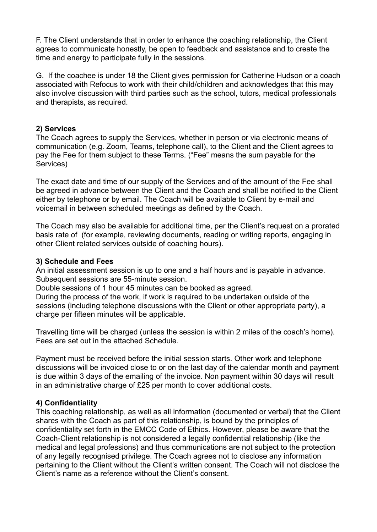F. The Client understands that in order to enhance the coaching relationship, the Client agrees to communicate honestly, be open to feedback and assistance and to create the time and energy to participate fully in the sessions.

G. If the coachee is under 18 the Client gives permission for Catherine Hudson or a coach associated with Refocus to work with their child/children and acknowledges that this may also involve discussion with third parties such as the school, tutors, medical professionals and therapists, as required.

## **2) Services**

The Coach agrees to supply the Services, whether in person or via electronic means of communication (e.g. Zoom, Teams, telephone call), to the Client and the Client agrees to pay the Fee for them subject to these Terms. ("Fee" means the sum payable for the Services)

The exact date and time of our supply of the Services and of the amount of the Fee shall be agreed in advance between the Client and the Coach and shall be notified to the Client either by telephone or by email. The Coach will be available to Client by e-mail and voicemail in between scheduled meetings as defined by the Coach.

The Coach may also be available for additional time, per the Client's request on a prorated basis rate of (for example, reviewing documents, reading or writing reports, engaging in other Client related services outside of coaching hours).

#### **3) Schedule and Fees**

An initial assessment session is up to one and a half hours and is payable in advance. Subsequent sessions are 55-minute session.

Double sessions of 1 hour 45 minutes can be booked as agreed.

During the process of the work, if work is required to be undertaken outside of the sessions (including telephone discussions with the Client or other appropriate party), a charge per fifteen minutes will be applicable.

Travelling time will be charged (unless the session is within 2 miles of the coach's home). Fees are set out in the attached Schedule.

Payment must be received before the initial session starts. Other work and telephone discussions will be invoiced close to or on the last day of the calendar month and payment is due within 3 days of the emailing of the invoice. Non payment within 30 days will result in an administrative charge of £25 per month to cover additional costs.

## **4) Confidentiality**

This coaching relationship, as well as all information (documented or verbal) that the Client shares with the Coach as part of this relationship, is bound by the principles of confidentiality set forth in the EMCC Code of Ethics. However, please be aware that the Coach-Client relationship is not considered a legally confidential relationship (like the medical and legal professions) and thus communications are not subject to the protection of any legally recognised privilege. The Coach agrees not to disclose any information pertaining to the Client without the Client's written consent. The Coach will not disclose the Client's name as a reference without the Client's consent.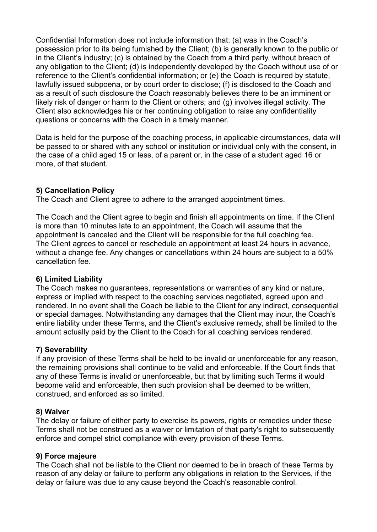Confidential Information does not include information that: (a) was in the Coach's possession prior to its being furnished by the Client; (b) is generally known to the public or in the Client's industry; (c) is obtained by the Coach from a third party, without breach of any obligation to the Client; (d) is independently developed by the Coach without use of or reference to the Client's confidential information; or (e) the Coach is required by statute, lawfully issued subpoena, or by court order to disclose; (f) is disclosed to the Coach and as a result of such disclosure the Coach reasonably believes there to be an imminent or likely risk of danger or harm to the Client or others; and (g) involves illegal activity. The Client also acknowledges his or her continuing obligation to raise any confidentiality questions or concerns with the Coach in a timely manner.

Data is held for the purpose of the coaching process, in applicable circumstances, data will be passed to or shared with any school or institution or individual only with the consent, in the case of a child aged 15 or less, of a parent or, in the case of a student aged 16 or more, of that student.

#### **5) Cancellation Policy**

The Coach and Client agree to adhere to the arranged appointment times.

The Coach and the Client agree to begin and finish all appointments on time. If the Client is more than 10 minutes late to an appointment, the Coach will assume that the appointment is canceled and the Client will be responsible for the full coaching fee. The Client agrees to cancel or reschedule an appointment at least 24 hours in advance, without a change fee. Any changes or cancellations within 24 hours are subject to a 50% cancellation fee.

## **6) Limited Liability**

The Coach makes no guarantees, representations or warranties of any kind or nature, express or implied with respect to the coaching services negotiated, agreed upon and rendered. In no event shall the Coach be liable to the Client for any indirect, consequential or special damages. Notwithstanding any damages that the Client may incur, the Coach's entire liability under these Terms, and the Client's exclusive remedy, shall be limited to the amount actually paid by the Client to the Coach for all coaching services rendered.

## **7) Severability**

If any provision of these Terms shall be held to be invalid or unenforceable for any reason, the remaining provisions shall continue to be valid and enforceable. If the Court finds that any of these Terms is invalid or unenforceable, but that by limiting such Terms it would become valid and enforceable, then such provision shall be deemed to be written, construed, and enforced as so limited.

#### **8) Waiver**

The delay or failure of either party to exercise its powers, rights or remedies under these Terms shall not be construed as a waiver or limitation of that party's right to subsequently enforce and compel strict compliance with every provision of these Terms.

#### **9) Force majeure**

The Coach shall not be liable to the Client nor deemed to be in breach of these Terms by reason of any delay or failure to perform any obligations in relation to the Services, if the delay or failure was due to any cause beyond the Coach's reasonable control.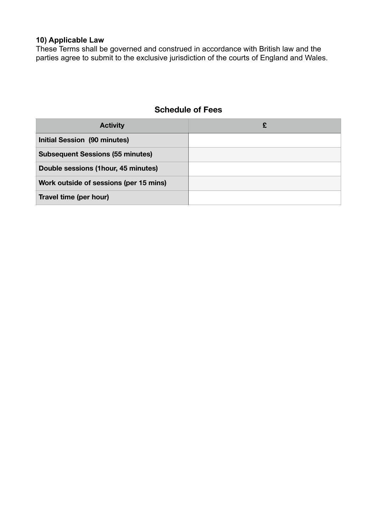## **10) Applicable Law**

These Terms shall be governed and construed in accordance with British law and the parties agree to submit to the exclusive jurisdiction of the courts of England and Wales.

# **Schedule of Fees**

| <b>Activity</b>                         |  |
|-----------------------------------------|--|
| <b>Initial Session (90 minutes)</b>     |  |
| <b>Subsequent Sessions (55 minutes)</b> |  |
| Double sessions (1hour, 45 minutes)     |  |
| Work outside of sessions (per 15 mins)  |  |
| Travel time (per hour)                  |  |